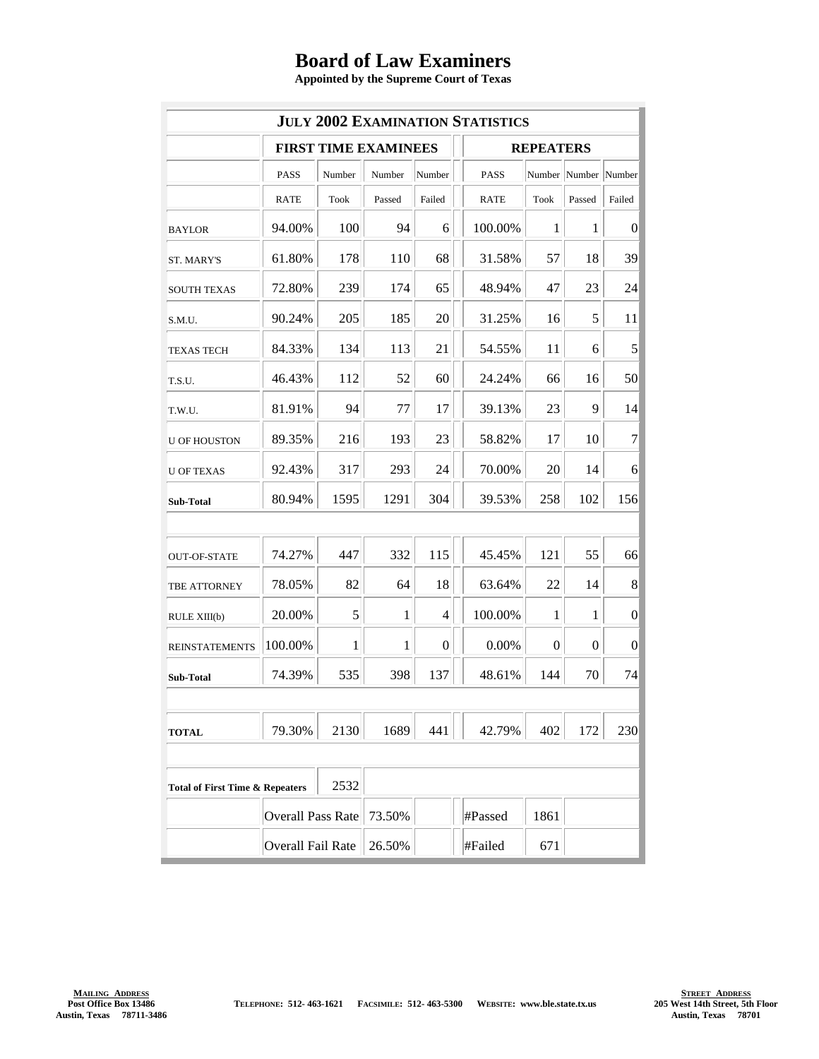## **Board of Law Examiners**

**Appointed by the Supreme Court of Texas**

| <b>JULY 2002 EXAMINATION STATISTICS</b>            |                             |             |        |                |  |                  |             |                |                  |  |  |
|----------------------------------------------------|-----------------------------|-------------|--------|----------------|--|------------------|-------------|----------------|------------------|--|--|
|                                                    | <b>FIRST TIME EXAMINEES</b> |             |        |                |  | <b>REPEATERS</b> |             |                |                  |  |  |
|                                                    | PASS                        | Number      | Number | Number         |  | <b>PASS</b>      |             | Number Number  | Number           |  |  |
|                                                    | <b>RATE</b>                 | <b>Took</b> | Passed | Failed         |  | <b>RATE</b>      | <b>Took</b> | Passed         | Failed           |  |  |
| <b>BAYLOR</b>                                      | 94.00%                      | 100         | 94     | 6              |  | 100.00%          | 1           | 1              | 0                |  |  |
| ST. MARY'S                                         | 61.80%                      | 178         | 110    | 68             |  | 31.58%           | 57          | 18             | 39               |  |  |
| <b>SOUTH TEXAS</b>                                 | 72.80%                      | 239         | 174    | 65             |  | 48.94%           | 47          | 23             | 24               |  |  |
| S.M.U.                                             | 90.24%                      | 205         | 185    | 20             |  | 31.25%           | 16          | 5              | 11               |  |  |
| <b>TEXAS TECH</b>                                  | 84.33%                      | 134         | 113    | 21             |  | 54.55%           | 11          | 6              | 5                |  |  |
| T.S.U.                                             | 46.43%                      | 112         | 52     | 60             |  | 24.24%           | 66          | 16             | 50               |  |  |
| T.W.U.                                             | 81.91%                      | 94          | 77     | 17             |  | 39.13%           | 23          | 9              | 14               |  |  |
| <b>U OF HOUSTON</b>                                | 89.35%                      | 216         | 193    | 23             |  | 58.82%           | 17          | 10             | $\overline{7}$   |  |  |
| <b>U OF TEXAS</b>                                  | 92.43%                      | 317         | 293    | 24             |  | 70.00%           | 20          | 14             | 6                |  |  |
| Sub-Total                                          | 80.94%                      | 1595        | 1291   | 304            |  | 39.53%           | 258         | 102            | 156              |  |  |
|                                                    |                             |             |        |                |  |                  |             |                |                  |  |  |
| <b>OUT-OF-STATE</b>                                | 74.27%                      | 447         | 332    | 115            |  | 45.45%           | 121         | 55             | 66               |  |  |
| TBE ATTORNEY                                       | 78.05%                      | 82          | 64     | 18             |  | 63.64%           | 22          | 14             | 8                |  |  |
| RULE XIII(b)                                       | 20.00%                      | 5           | 1      | $\overline{4}$ |  | 100.00%          | $\mathbf 1$ | $\mathbf{1}$   | $\boldsymbol{0}$ |  |  |
| <b>REINSTATEMENTS</b>                              | 100.00%                     | 1           | 1      | $\overline{0}$ |  | 0.00%            | 0           | $\overline{0}$ | 0                |  |  |
| Sub-Total                                          | 74.39%                      | 535         | 398    | 137            |  | 48.61%           | 144         | 70             | 74               |  |  |
|                                                    |                             |             |        |                |  |                  |             |                |                  |  |  |
| <b>TOTAL</b>                                       | 79.30%                      | 2130        | 1689   | 441            |  | 42.79%           | 402         | 172            | 230              |  |  |
|                                                    |                             |             |        |                |  |                  |             |                |                  |  |  |
| 2532<br><b>Total of First Time &amp; Repeaters</b> |                             |             |        |                |  |                  |             |                |                  |  |  |
|                                                    | <b>Overall Pass Rate</b>    |             | 73.50% |                |  | #Passed          | 1861        |                |                  |  |  |
|                                                    | <b>Overall Fail Rate</b>    |             | 26.50% |                |  | #Failed          | 671         |                |                  |  |  |